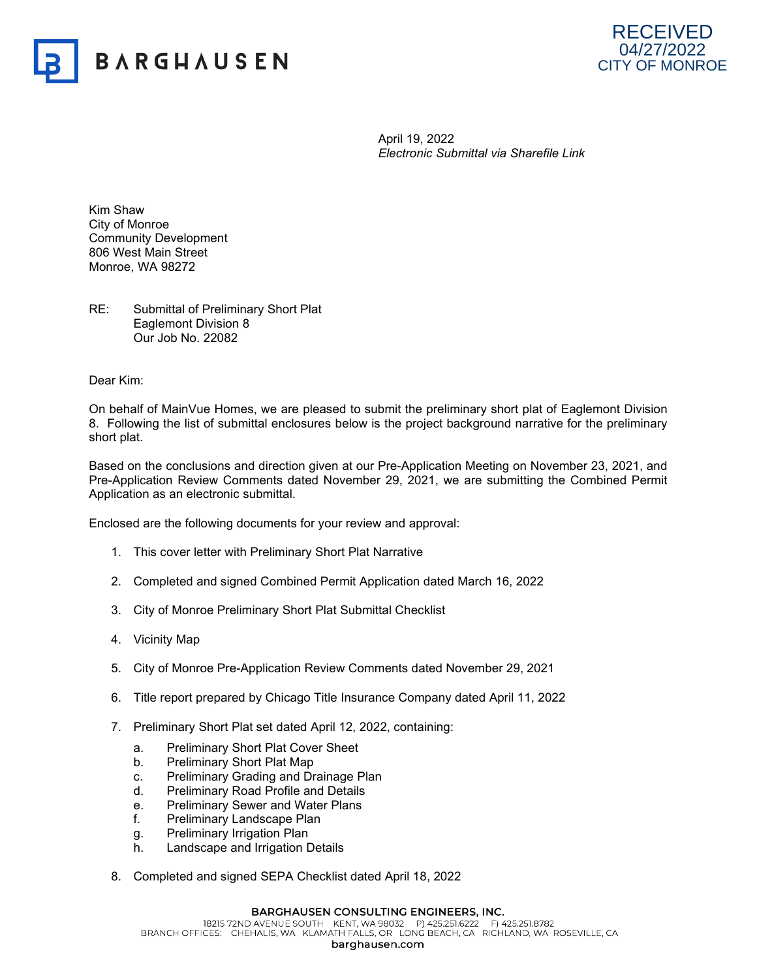



April 19, 2022 *Electronic Submittal via Sharefile Link* 

Kim Shaw City of Monroe Community Development 806 West Main Street Monroe, WA 98272

RE: Submittal of Preliminary Short Plat Eaglemont Division 8 Our Job No. 22082

Dear Kim:

On behalf of MainVue Homes, we are pleased to submit the preliminary short plat of Eaglemont Division 8. Following the list of submittal enclosures below is the project background narrative for the preliminary short plat.

Based on the conclusions and direction given at our Pre-Application Meeting on November 23, 2021, and Pre-Application Review Comments dated November 29, 2021, we are submitting the Combined Permit Application as an electronic submittal.

Enclosed are the following documents for your review and approval:

- 1. This cover letter with Preliminary Short Plat Narrative
- 2. Completed and signed Combined Permit Application dated March 16, 2022
- 3. City of Monroe Preliminary Short Plat Submittal Checklist
- 4. Vicinity Map
- 5. City of Monroe Pre-Application Review Comments dated November 29, 2021
- 6. Title report prepared by Chicago Title Insurance Company dated April 11, 2022
- 7. Preliminary Short Plat set dated April 12, 2022, containing:
	- a. Preliminary Short Plat Cover Sheet
	- b. Preliminary Short Plat Map
	- c. Preliminary Grading and Drainage Plan
	- d. Preliminary Road Profile and Details
	- e. Preliminary Sewer and Water Plans
	- f. Preliminary Landscape Plan
	- g. Preliminary Irrigation Plan
	- h. Landscape and Irrigation Details
- 8. Completed and signed SEPA Checklist dated April 18, 2022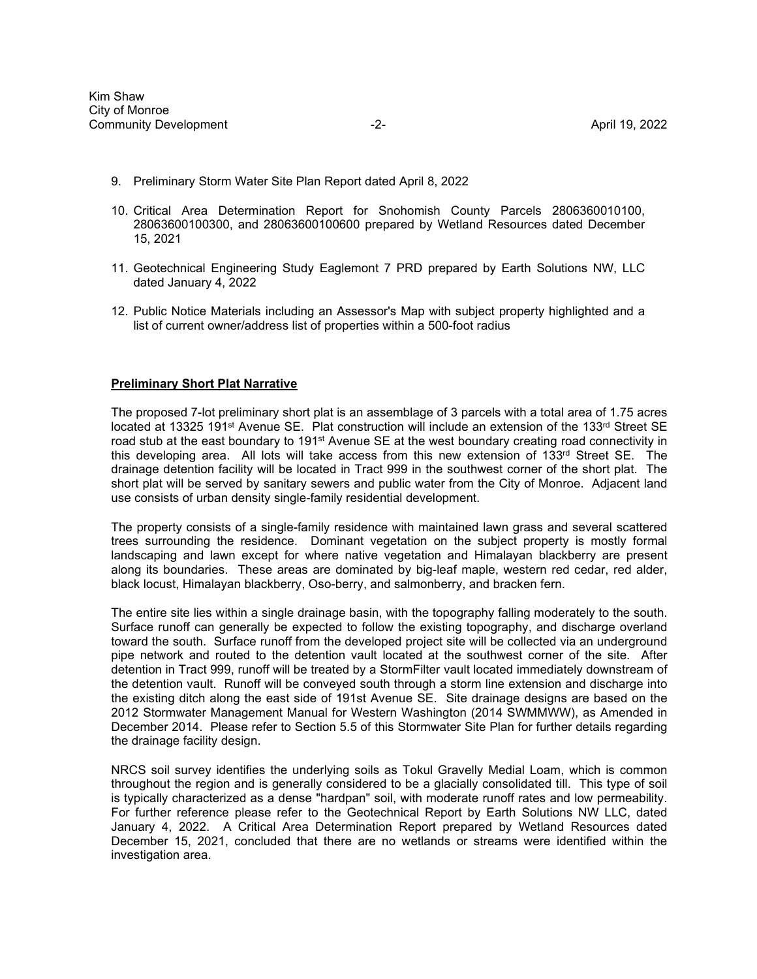- 9. Preliminary Storm Water Site Plan Report dated April 8, 2022
- 10. Critical Area Determination Report for Snohomish County Parcels 2806360010100, 28063600100300, and 28063600100600 prepared by Wetland Resources dated December 15, 2021
- 11. Geotechnical Engineering Study Eaglemont 7 PRD prepared by Earth Solutions NW, LLC dated January 4, 2022
- 12. Public Notice Materials including an Assessor's Map with subject property highlighted and a list of current owner/address list of properties within a 500-foot radius

## **Preliminary Short Plat Narrative**

The proposed 7-lot preliminary short plat is an assemblage of 3 parcels with a total area of 1.75 acres located at 13325 191<sup>st</sup> Avenue SE. Plat construction will include an extension of the 133<sup>rd</sup> Street SE road stub at the east boundary to 191<sup>st</sup> Avenue SE at the west boundary creating road connectivity in this developing area. All lots will take access from this new extension of  $133<sup>rd</sup>$  Street SE. The drainage detention facility will be located in Tract 999 in the southwest corner of the short plat. The short plat will be served by sanitary sewers and public water from the City of Monroe. Adjacent land use consists of urban density single-family residential development.

The property consists of a single-family residence with maintained lawn grass and several scattered trees surrounding the residence. Dominant vegetation on the subject property is mostly formal landscaping and lawn except for where native vegetation and Himalayan blackberry are present along its boundaries. These areas are dominated by big-leaf maple, western red cedar, red alder, black locust, Himalayan blackberry, Oso-berry, and salmonberry, and bracken fern.

The entire site lies within a single drainage basin, with the topography falling moderately to the south. Surface runoff can generally be expected to follow the existing topography, and discharge overland toward the south. Surface runoff from the developed project site will be collected via an underground pipe network and routed to the detention vault located at the southwest corner of the site. After detention in Tract 999, runoff will be treated by a StormFilter vault located immediately downstream of the detention vault. Runoff will be conveyed south through a storm line extension and discharge into the existing ditch along the east side of 191st Avenue SE. Site drainage designs are based on the 2012 Stormwater Management Manual for Western Washington (2014 SWMMWW), as Amended in December 2014. Please refer to Section 5.5 of this Stormwater Site Plan for further details regarding the drainage facility design.

NRCS soil survey identifies the underlying soils as Tokul Gravelly Medial Loam, which is common throughout the region and is generally considered to be a glacially consolidated till. This type of soil is typically characterized as a dense "hardpan" soil, with moderate runoff rates and low permeability. For further reference please refer to the Geotechnical Report by Earth Solutions NW LLC, dated January 4, 2022. A Critical Area Determination Report prepared by Wetland Resources dated December 15, 2021, concluded that there are no wetlands or streams were identified within the investigation area.